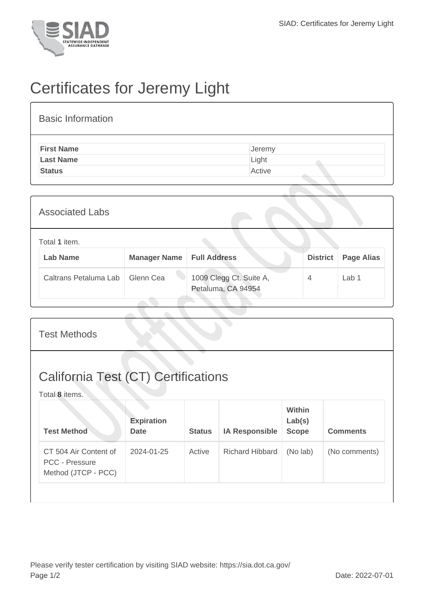

## Certificates for Jeremy Light

| <b>Basic Information</b> |        |  |  |  |  |  |
|--------------------------|--------|--|--|--|--|--|
| <b>First Name</b>        | Jeremy |  |  |  |  |  |
| <b>Last Name</b>         | Light  |  |  |  |  |  |
| <b>Status</b>            | Active |  |  |  |  |  |

| <b>Associated Labs</b>           |                     |                                               |                 |                   |  |  |
|----------------------------------|---------------------|-----------------------------------------------|-----------------|-------------------|--|--|
| Total 1 item.<br><b>Lab Name</b> | <b>Manager Name</b> | <b>Full Address</b>                           | <b>District</b> | <b>Page Alias</b> |  |  |
| Caltrans Petaluma Lab            | Glenn Cea           | 1009 Clegg Ct. Suite A,<br>Petaluma, CA 94954 | 4               | Lab 1             |  |  |

| <b>Test Methods</b>                                                   |                                  |               |                        |                                  |                 |  |
|-----------------------------------------------------------------------|----------------------------------|---------------|------------------------|----------------------------------|-----------------|--|
| <b>California Test (CT) Certifications</b><br>Total 8 items.          |                                  |               |                        |                                  |                 |  |
| <b>Test Method</b>                                                    | <b>Expiration</b><br><b>Date</b> | <b>Status</b> | <b>IA Responsible</b>  | Within<br>Lab(s)<br><b>Scope</b> | <b>Comments</b> |  |
| CT 504 Air Content of<br><b>PCC - Pressure</b><br>Method (JTCP - PCC) | 2024-01-25                       | Active        | <b>Richard Hibbard</b> | (No lab)                         | (No comments)   |  |
|                                                                       |                                  |               |                        |                                  |                 |  |